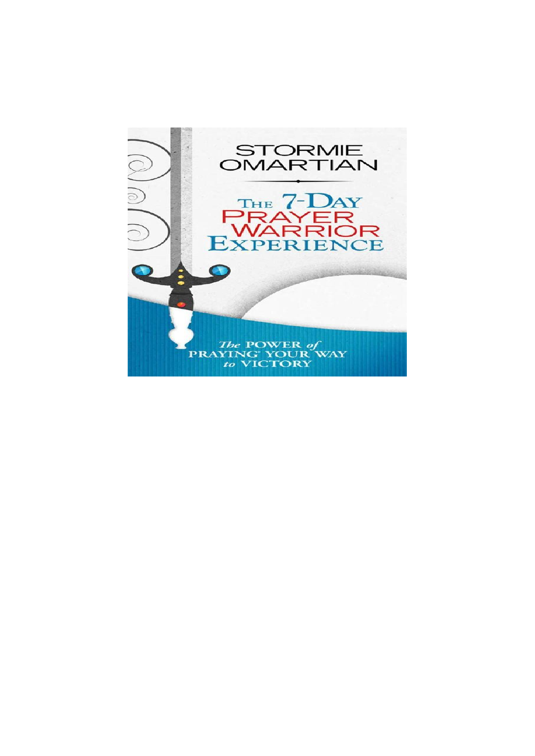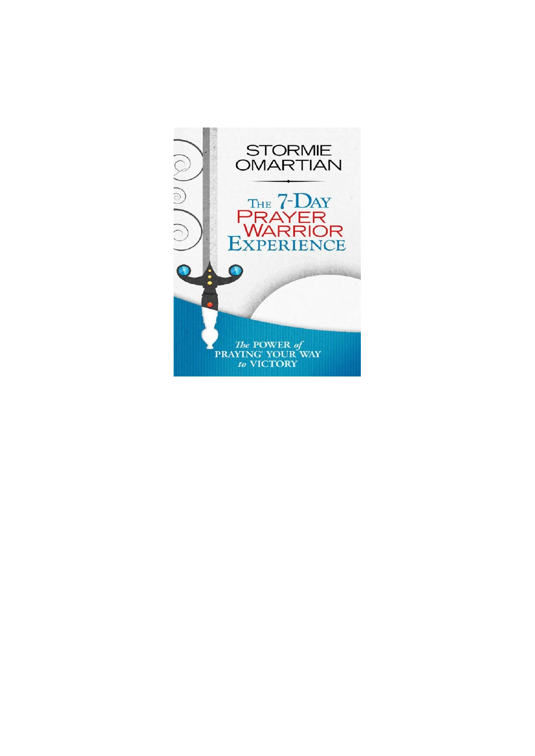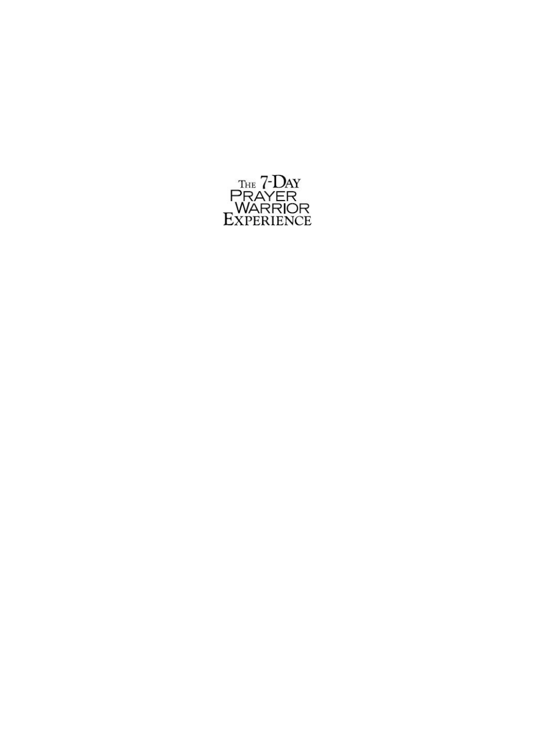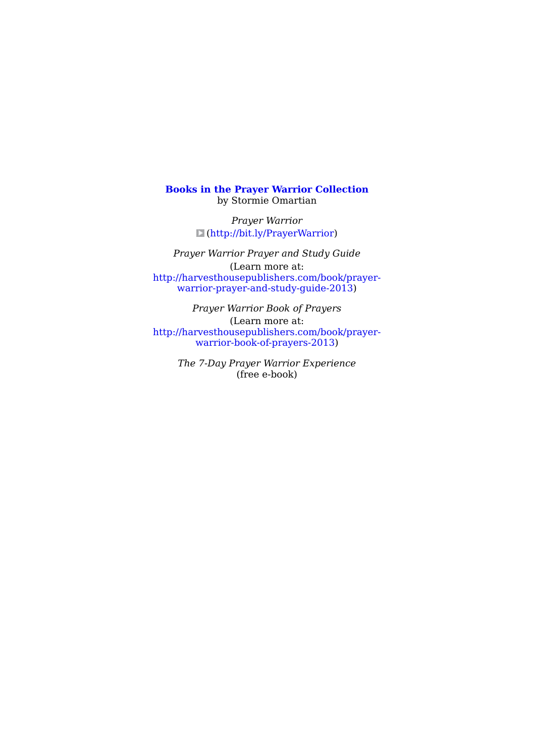### **Books in the Prayer Warrior Collection** by Stormie Omartian

*Prayer Warrior* (http://bit.ly/PrayerWarrior)

*Prayer Warrior Prayer and Study Guide* (Learn more at: http://harvesthousepublishers.com/book/prayerwarrior-prayer-and-study-guide-2013)

*Prayer Warrior Book of Prayers* (Learn more at: http://harvesthousepublishers.com/book/prayerwarrior-book-of-prayers-2013)

> *The 7-Day Prayer Warrior Experience* (free e-book)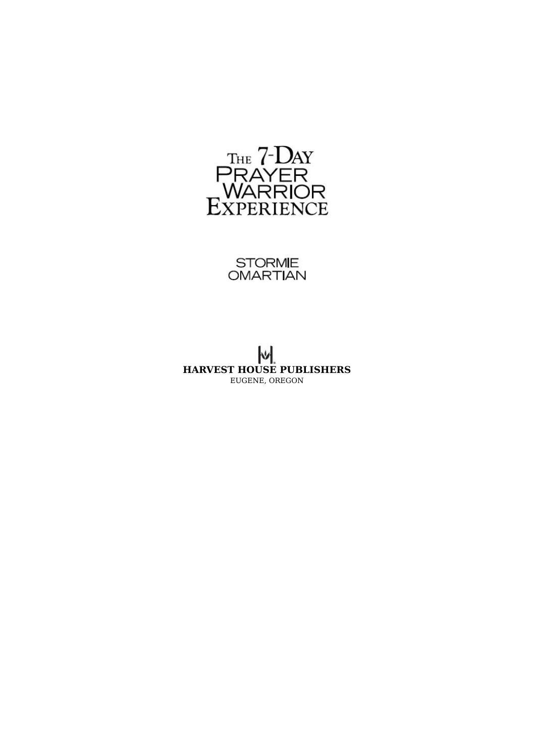

# STORMIE<br>OMARTIAN

# $\mathsf{w}$ **HARVEST HOUSE PUBLISHERS** EUGENE, OREGON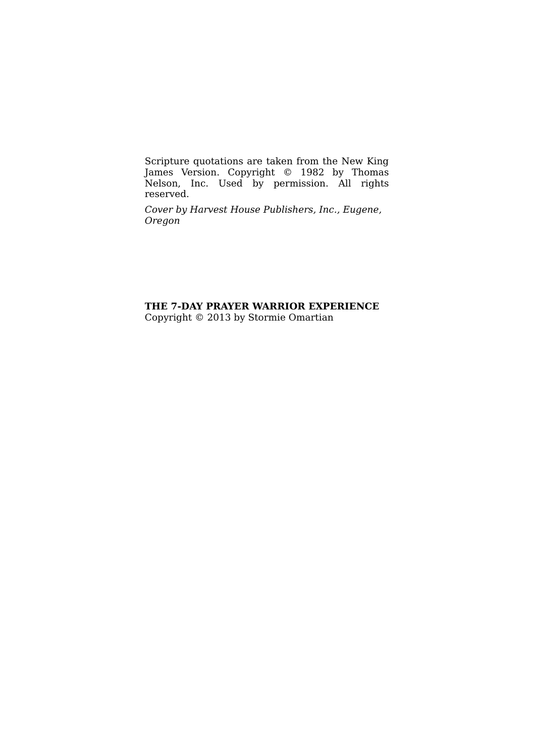Scripture quotations are taken from the New King James Version. Copyright © 1982 by Thomas Nelson, Inc. Used by permission. All rights reserved.

*Cover by Harvest House Publishers, Inc., Eugene, Oregon*

### **THE 7-DAY PRAYER WARRIOR EXPERIENCE** Copyright © 2013 by Stormie Omartian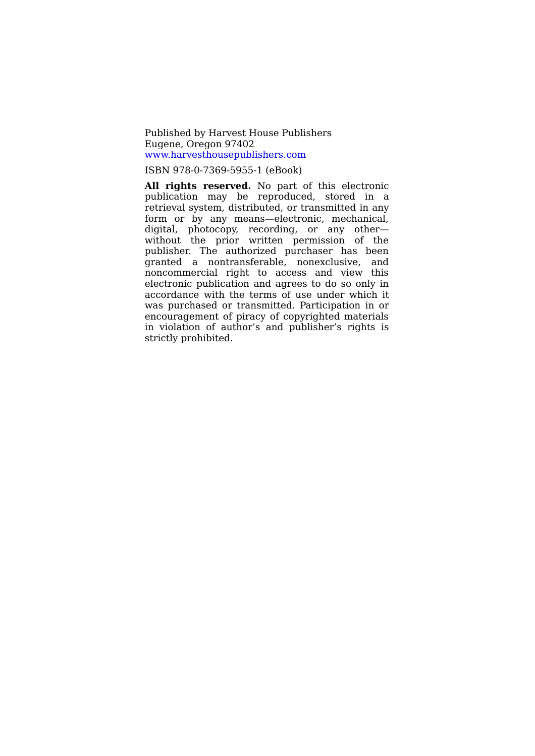Published by Harvest House Publishers Eugene, Oregon 97402 www.harvesthousepublishers.com

ISBN 978-0-7369-5955-1 (eBook)

**All rights reserved.** No part of this electronic publication may be reproduced, stored in a retrieval system, distributed, or transmitted in any form or by any means—electronic, mechanical, digital, photocopy, recording, or any other without the prior written permission of the publisher. The authorized purchaser has been granted a nontransferable, nonexclusive, and noncommercial right to access and view this electronic publication and agrees to do so only in accordance with the terms of use under which it was purchased or transmitted. Participation in or encouragement of piracy of copyrighted materials in violation of author's and publisher's rights is strictly prohibited.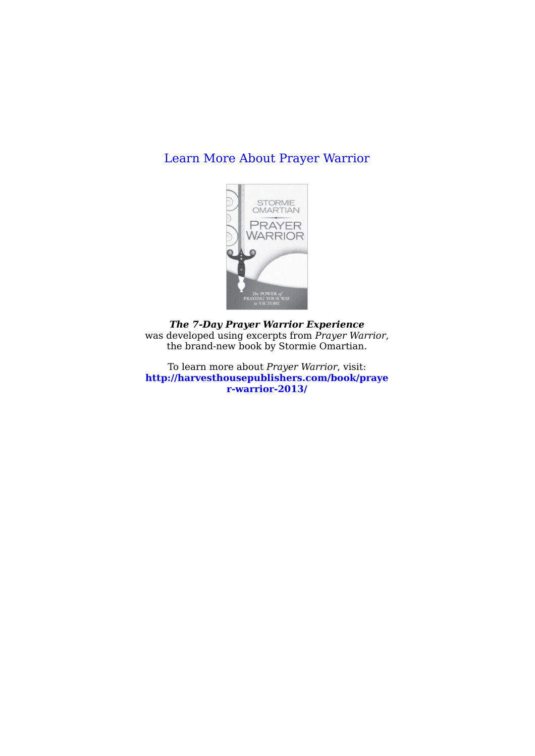# Learn More About Prayer Warrior



*The 7-Day Prayer Warrior Experience* was developed using excerpts from *Prayer Warrior*, the brand-new book by Stormie Omartian.

To learn more about *Prayer Warrior*, visit: **http://harvesthousepublishers.com/book/praye r-warrior-2013/**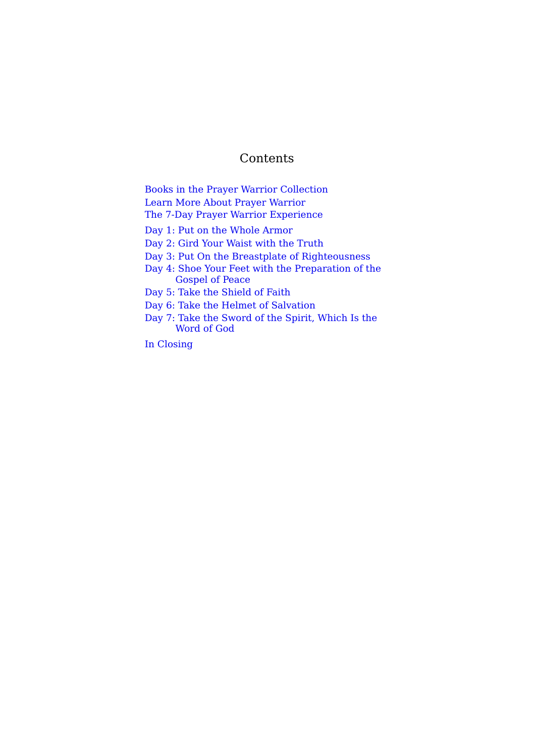# Contents

Books in the Prayer Warrior Collection

Learn More About Prayer Warrior

The 7-Day Prayer Warrior Experience

Day 1: Put on the Whole Armor

Day 2: Gird Your Waist with the Truth

Day 3: Put On the Breastplate of Righteousness

Day 4: Shoe Your Feet with the Preparation of the Gospel of Peace

Day 5: Take the Shield of Faith

Day 6: Take the Helmet of Salvation

Day 7: Take the Sword of the Spirit, Which Is the Word of God

In Closing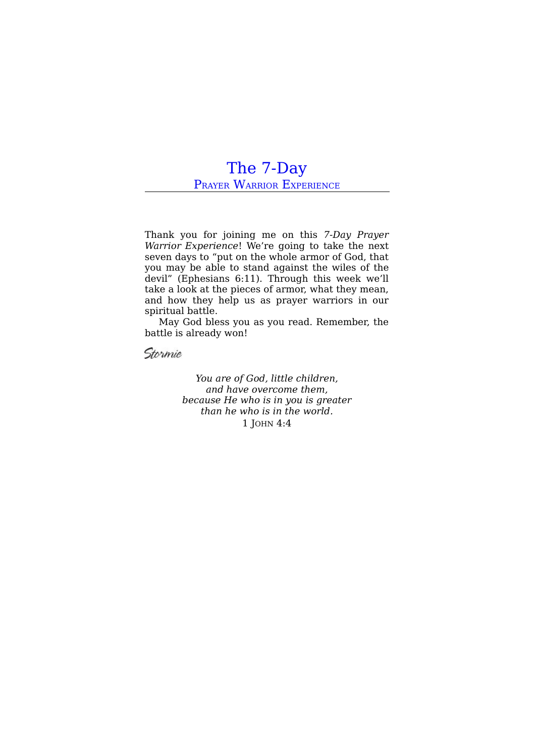# The 7-Day

PRAYER WARRIOR EXPERIENCE

Thank you for joining me on this *7-Day Prayer Warrior Experience*! We're going to take the next seven days to "put on the whole armor of God, that you may be able to stand against the wiles of the devil" (Ephesians 6:11). Through this week we'll take a look at the pieces of armor, what they mean, and how they help us as prayer warriors in our spiritual battle.

May God bless you as you read. Remember, the battle is already won!

Stormie

*You are of God, little children, and have overcome them, because He who is in you is greater than he who is in the world.* 1 JOHN 4:4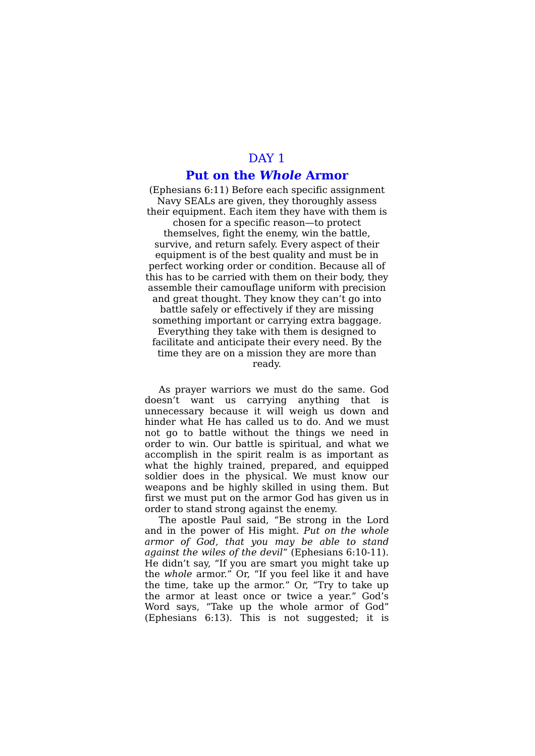### DAY<sub>1</sub>

# **Put on the** *Whole* **Armor**

(Ephesians 6:11) Before each specific assignment Navy SEALs are given, they thoroughly assess their equipment. Each item they have with them is chosen for a specific reason—to protect themselves, fight the enemy, win the battle, survive, and return safely. Every aspect of their equipment is of the best quality and must be in perfect working order or condition. Because all of this has to be carried with them on their body, they assemble their camouflage uniform with precision and great thought. They know they can't go into battle safely or effectively if they are missing something important or carrying extra baggage. Everything they take with them is designed to facilitate and anticipate their every need. By the time they are on a mission they are more than ready.

As prayer warriors we must do the same. God doesn't want us carrying anything that is unnecessary because it will weigh us down and hinder what He has called us to do. And we must not go to battle without the things we need in order to win. Our battle is spiritual, and what we accomplish in the spirit realm is as important as what the highly trained, prepared, and equipped soldier does in the physical. We must know our weapons and be highly skilled in using them. But first we must put on the armor God has given us in order to stand strong against the enemy.

The apostle Paul said, "Be strong in the Lord and in the power of His might. *Put on the whole armor of God, that you may be able to stand against the wiles of the devil*" (Ephesians 6:10-11). He didn't say, "If you are smart you might take up the *whole* armor." Or, "If you feel like it and have the time, take up the armor." Or, "Try to take up the armor at least once or twice a year." God's Word says, "Take up the whole armor of God" (Ephesians 6:13). This is not suggested; it is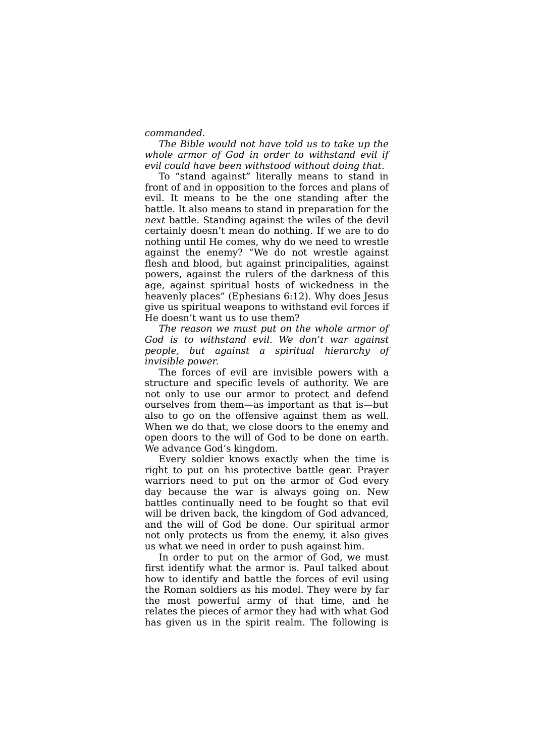*commanded*.

*The Bible would not have told us to take up the whole armor of God in order to withstand evil if evil could have been withstood without doing that.*

To "stand against" literally means to stand in front of and in opposition to the forces and plans of evil. It means to be the one standing after the battle. It also means to stand in preparation for the *next* battle. Standing against the wiles of the devil certainly doesn't mean do nothing. If we are to do nothing until He comes, why do we need to wrestle against the enemy? "We do not wrestle against flesh and blood, but against principalities, against powers, against the rulers of the darkness of this age, against spiritual hosts of wickedness in the heavenly places" (Ephesians 6:12). Why does Jesus give us spiritual weapons to withstand evil forces if He doesn't want us to use them?

*The reason we must put on the whole armor of God is to withstand evil. We don't war against people, but against a spiritual hierarchy of invisible power.*

The forces of evil are invisible powers with a structure and specific levels of authority. We are not only to use our armor to protect and defend ourselves from them—as important as that is—but also to go on the offensive against them as well. When we do that, we close doors to the enemy and open doors to the will of God to be done on earth. We advance God's kingdom.

Every soldier knows exactly when the time is right to put on his protective battle gear. Prayer warriors need to put on the armor of God every day because the war is always going on. New battles continually need to be fought so that evil will be driven back, the kingdom of God advanced, and the will of God be done. Our spiritual armor not only protects us from the enemy, it also gives us what we need in order to push against him.

In order to put on the armor of God, we must first identify what the armor is. Paul talked about how to identify and battle the forces of evil using the Roman soldiers as his model. They were by far the most powerful army of that time, and he relates the pieces of armor they had with what God has given us in the spirit realm. The following is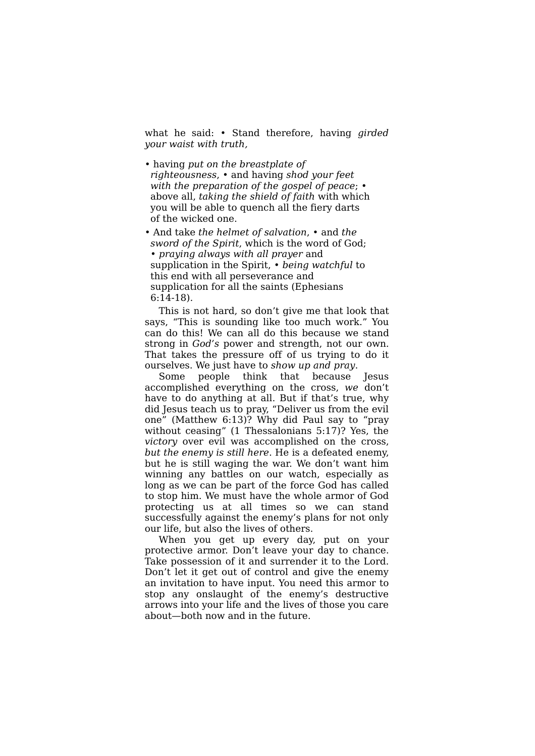what he said: • Stand therefore, having *girded your waist with truth,*

- having *put on the breastplate of righteousness*, • and having *shod your feet with the preparation of the gospel of peace*; • above all, *taking the shield of faith* with which you will be able to quench all the fiery darts of the wicked one.
- And take *the helmet of salvation*, and *the sword of the Spirit*, which is the word of God; • *praying always with all prayer* and supplication in the Spirit, • *being watchful* to this end with all perseverance and supplication for all the saints (Ephesians 6:14-18).

This is not hard, so don't give me that look that says, "This is sounding like too much work." You can do this! We can all do this because we stand strong in *God's* power and strength, not our own. That takes the pressure off of us trying to do it ourselves. We just have to *show up and pray*.

Some people think that because Jesus accomplished everything on the cross, *we* don't have to do anything at all. But if that's true, why did Jesus teach us to pray, "Deliver us from the evil one" (Matthew 6:13)? Why did Paul say to "pray without ceasing" (1 Thessalonians 5:17)? Yes, the *victory* over evil was accomplished on the cross, *but the enemy is still here*. He is a defeated enemy, but he is still waging the war. We don't want him winning any battles on our watch, especially as long as we can be part of the force God has called to stop him. We must have the whole armor of God protecting us at all times so we can stand successfully against the enemy's plans for not only our life, but also the lives of others.

When you get up every day, put on your protective armor. Don't leave your day to chance. Take possession of it and surrender it to the Lord. Don't let it get out of control and give the enemy an invitation to have input. You need this armor to stop any onslaught of the enemy's destructive arrows into your life and the lives of those you care about—both now and in the future.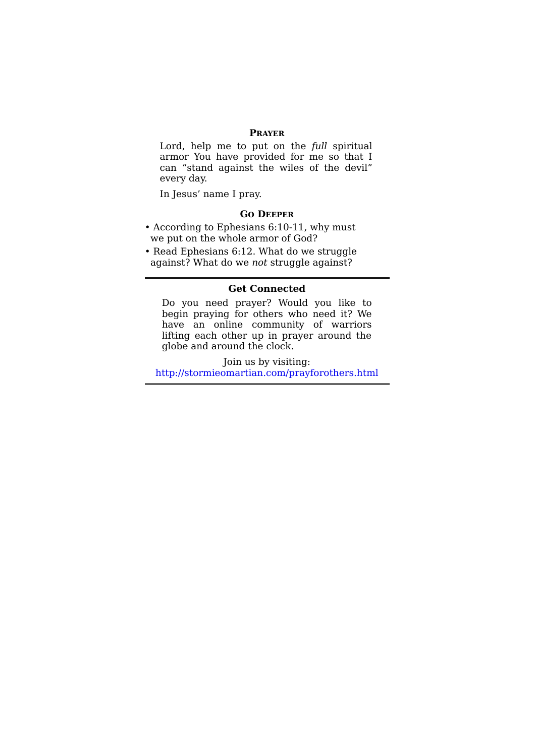### **PRAYER**

Lord, help me to put on the *full* spiritual armor You have provided for me so that I can "stand against the wiles of the devil" every day.

In Jesus' name I pray.

### **GO DEEPER**

- According to Ephesians 6:10-11, why must we put on the whole armor of God?
- Read Ephesians 6:12. What do we struggle against? What do we *not* struggle against?

### **Get Connected**

Do you need prayer? Would you like to begin praying for others who need it? We have an online community of warriors lifting each other up in prayer around the globe and around the clock.

Join us by visiting: http://stormieomartian.com/prayforothers.html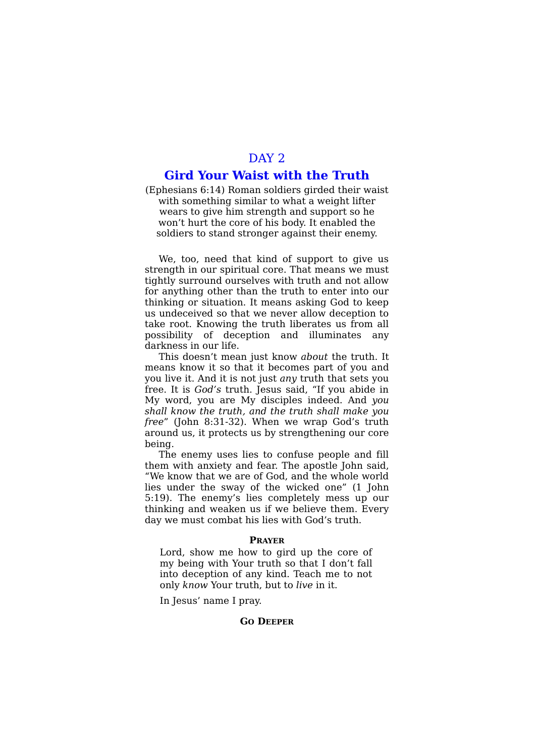# DAY<sub>2</sub>

# **Gird Your Waist with the Truth**

(Ephesians 6:14) Roman soldiers girded their waist with something similar to what a weight lifter wears to give him strength and support so he won't hurt the core of his body. It enabled the soldiers to stand stronger against their enemy.

We, too, need that kind of support to give us strength in our spiritual core. That means we must tightly surround ourselves with truth and not allow for anything other than the truth to enter into our thinking or situation. It means asking God to keep us undeceived so that we never allow deception to take root. Knowing the truth liberates us from all possibility of deception and illuminates any darkness in our life.

This doesn't mean just know *about* the truth. It means know it so that it becomes part of you and you live it. And it is not just *any* truth that sets you free. It is *God's* truth. Jesus said, "If you abide in My word, you are My disciples indeed. And *you shall know the truth, and the truth shall make you free*" (John 8:31-32). When we wrap God's truth around us, it protects us by strengthening our core being.

The enemy uses lies to confuse people and fill them with anxiety and fear. The apostle John said, "We know that we are of God, and the whole world lies under the sway of the wicked one" (1 John 5:19). The enemy's lies completely mess up our thinking and weaken us if we believe them. Every day we must combat his lies with God's truth.

#### **PRAYER**

Lord, show me how to gird up the core of my being with Your truth so that I don't fall into deception of any kind. Teach me to not only *know* Your truth, but to *live* in it.

In Jesus' name I pray.

#### **GO DEEPER**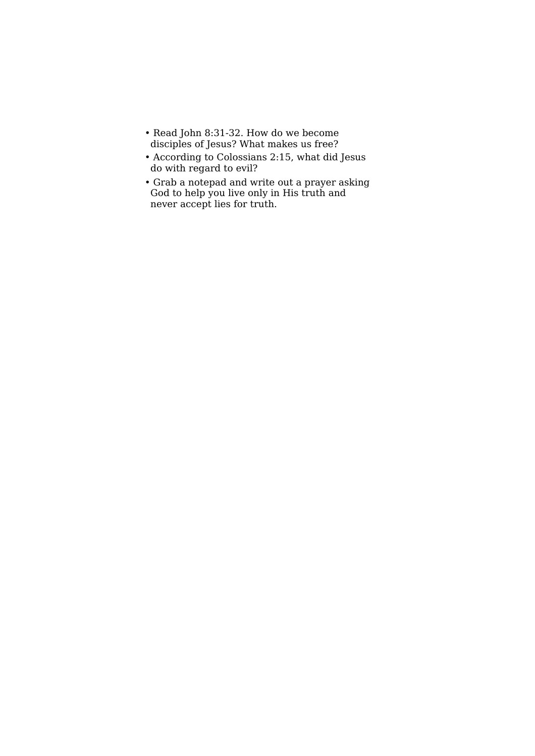- Read John 8:31-32. How do we become disciples of Jesus? What makes us free?
- According to Colossians 2:15, what did Jesus do with regard to evil?
- Grab a notepad and write out a prayer asking God to help you live only in His truth and never accept lies for truth.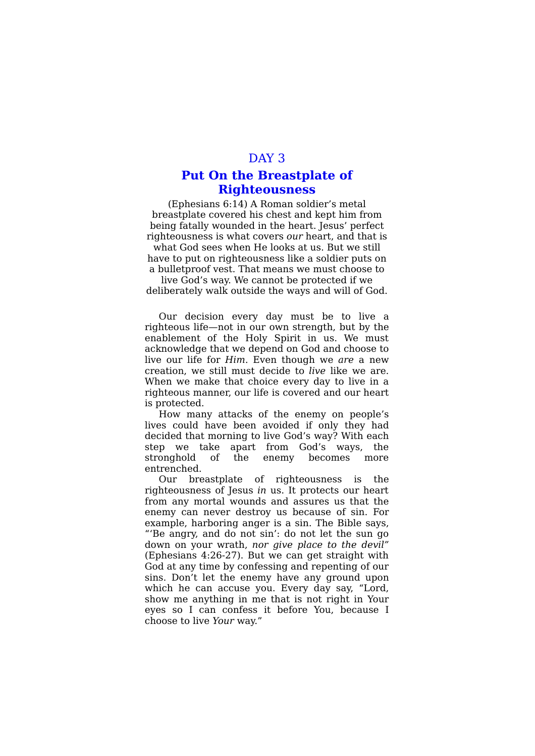### DAY 3

# **Put On the Breastplate of Righteousness**

(Ephesians 6:14) A Roman soldier's metal breastplate covered his chest and kept him from being fatally wounded in the heart. Jesus' perfect righteousness is what covers *our* heart, and that is what God sees when He looks at us. But we still have to put on righteousness like a soldier puts on a bulletproof vest. That means we must choose to

live God's way. We cannot be protected if we deliberately walk outside the ways and will of God.

Our decision every day must be to live a righteous life—not in our own strength, but by the enablement of the Holy Spirit in us. We must acknowledge that we depend on God and choose to live our life for *Him*. Even though we *are* a new creation, we still must decide to *live* like we are. When we make that choice every day to live in a righteous manner, our life is covered and our heart is protected.

How many attacks of the enemy on people's lives could have been avoided if only they had decided that morning to live God's way? With each step we take apart from God's ways, the stronghold of the enemy becomes more entrenched.

Our breastplate of righteousness is the righteousness of Jesus *in* us. It protects our heart from any mortal wounds and assures us that the enemy can never destroy us because of sin. For example, harboring anger is a sin. The Bible says, "'Be angry, and do not sin': do not let the sun go down on your wrath, *nor give place to the devil"* (Ephesians 4:26-27). But we can get straight with God at any time by confessing and repenting of our sins. Don't let the enemy have any ground upon which he can accuse you. Every day say, "Lord, show me anything in me that is not right in Your eyes so I can confess it before You, because I choose to live *Your* way."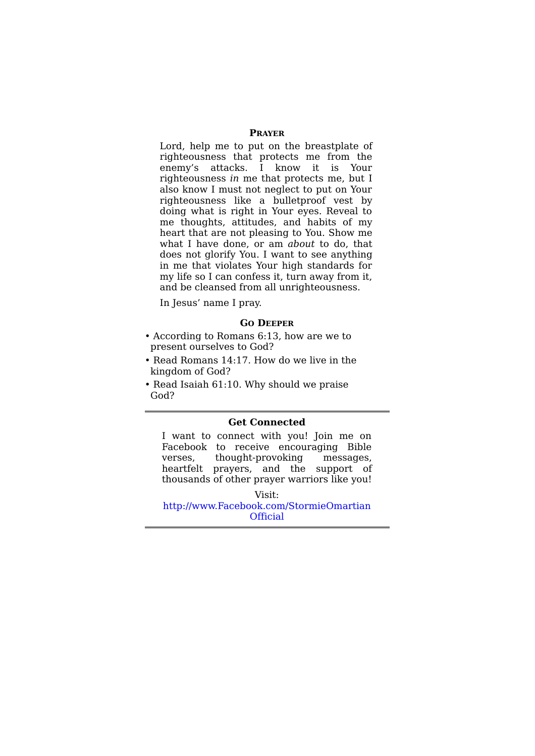### **PRAYER**

Lord, help me to put on the breastplate of righteousness that protects me from the enemy's attacks. I know it is Your righteousness *in* me that protects me, but I also know I must not neglect to put on Your righteousness like a bulletproof vest by doing what is right in Your eyes. Reveal to me thoughts, attitudes, and habits of my heart that are not pleasing to You. Show me what I have done, or am *about* to do, that does not glorify You. I want to see anything in me that violates Your high standards for my life so I can confess it, turn away from it, and be cleansed from all unrighteousness.

In Jesus' name I pray.

### **GO DEEPER**

- According to Romans 6:13, how are we to present ourselves to God?
- Read Romans 14:17. How do we live in the kingdom of God?
- Read Isaiah 61:10. Why should we praise God?

### **Get Connected**

I want to connect with you! Join me on Facebook to receive encouraging Bible verses, thought-provoking messages, heartfelt prayers, and the support of thousands of other prayer warriors like you!

Visit: http://www.Facebook.com/StormieOmartian **Official**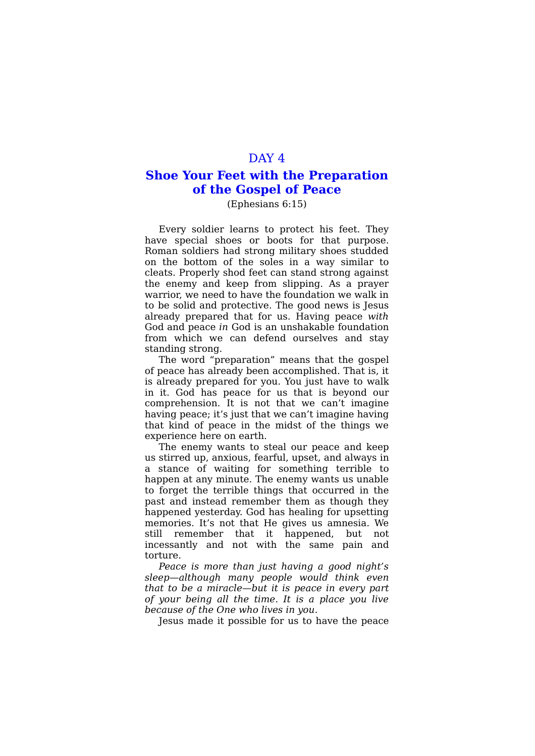# DAY 4

# **Shoe Your Feet with the Preparation of the Gospel of Peace**

(Ephesians 6:15)

Every soldier learns to protect his feet. They have special shoes or boots for that purpose. Roman soldiers had strong military shoes studded on the bottom of the soles in a way similar to cleats. Properly shod feet can stand strong against the enemy and keep from slipping. As a prayer warrior, we need to have the foundation we walk in to be solid and protective. The good news is Jesus already prepared that for us. Having peace *with* God and peace *in* God is an unshakable foundation from which we can defend ourselves and stay standing strong.

The word "preparation" means that the gospel of peace has already been accomplished. That is, it is already prepared for you. You just have to walk in it. God has peace for us that is beyond our comprehension. It is not that we can't imagine having peace; it's just that we can't imagine having that kind of peace in the midst of the things we experience here on earth.

The enemy wants to steal our peace and keep us stirred up, anxious, fearful, upset, and always in a stance of waiting for something terrible to happen at any minute. The enemy wants us unable to forget the terrible things that occurred in the past and instead remember them as though they happened yesterday. God has healing for upsetting memories. It's not that He gives us amnesia. We still remember that it happened, but not incessantly and not with the same pain and torture.

*Peace is more than just having a good night's sleep—although many people would think even that to be a miracle—but it is peace in every part of your being all the time. It is a place you live because of the One who lives in you.*

Jesus made it possible for us to have the peace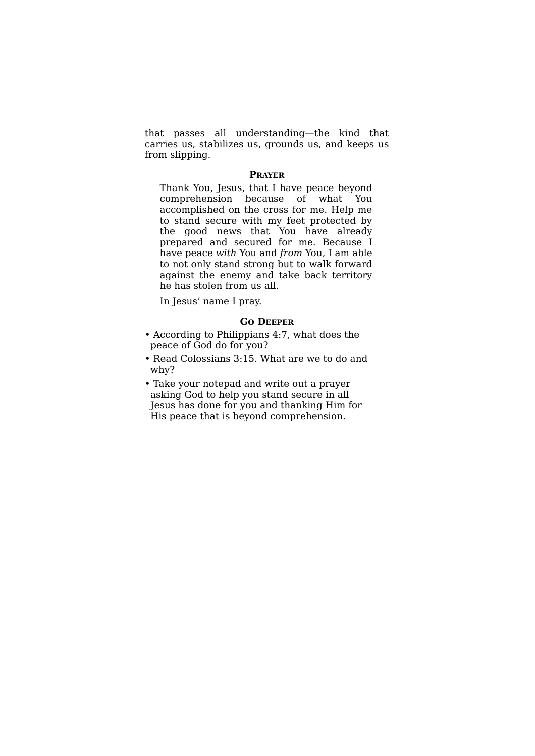that passes all understanding—the kind that carries us, stabilizes us, grounds us, and keeps us from slipping.

### **PRAYER**

Thank You, Jesus, that I have peace beyond comprehension because of what You accomplished on the cross for me. Help me to stand secure with my feet protected by the good news that You have already prepared and secured for me. Because I have peace *with* You and *from* You, I am able to not only stand strong but to walk forward against the enemy and take back territory he has stolen from us all.

In Jesus' name I pray.

### **GO DEEPER**

- According to Philippians 4:7, what does the peace of God do for you?
- Read Colossians 3:15. What are we to do and why?
- Take your notepad and write out a prayer asking God to help you stand secure in all Jesus has done for you and thanking Him for His peace that is beyond comprehension.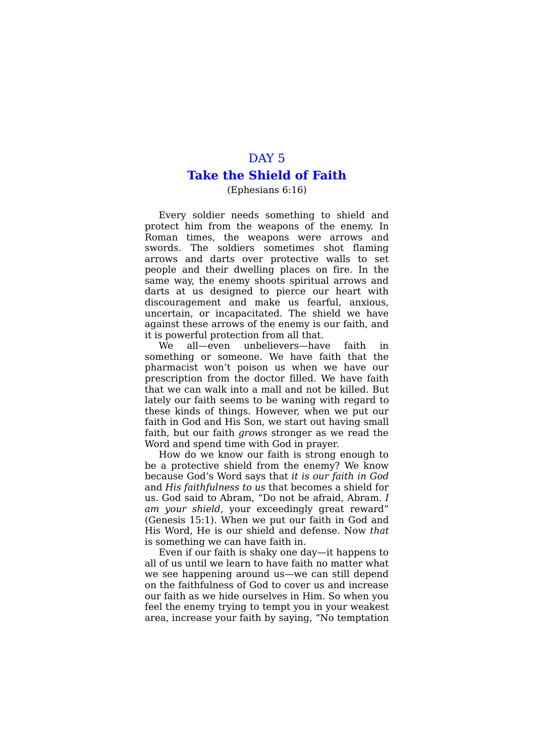# DAY 5 **Take the Shield of Faith**

(Ephesians 6:16)

Every soldier needs something to shield and protect him from the weapons of the enemy. In Roman times, the weapons were arrows and swords. The soldiers sometimes shot flaming arrows and darts over protective walls to set people and their dwelling places on fire. In the same way, the enemy shoots spiritual arrows and darts at us designed to pierce our heart with discouragement and make us fearful, anxious, uncertain, or incapacitated. The shield we have against these arrows of the enemy is our faith, and it is powerful protection from all that.

We all—even unbelievers—have faith in something or someone. We have faith that the pharmacist won't poison us when we have our prescription from the doctor filled. We have faith that we can walk into a mall and not be killed. But lately our faith seems to be waning with regard to these kinds of things. However, when we put our faith in God and His Son, we start out having small faith, but our faith *grows* stronger as we read the Word and spend time with God in prayer.

How do we know our faith is strong enough to be a protective shield from the enemy? We know because God's Word says that *it is our faith in God* and *His faithfulness to us* that becomes a shield for us. God said to Abram, "Do not be afraid, Abram. *I am your shield,* your exceedingly great reward" (Genesis 15:1). When we put our faith in God and His Word, He is our shield and defense. Now *that* is something we can have faith in.

Even if our faith is shaky one day—it happens to all of us until we learn to have faith no matter what we see happening around us—we can still depend on the faithfulness of God to cover us and increase our faith as we hide ourselves in Him. So when you feel the enemy trying to tempt you in your weakest area, increase your faith by saying, "No temptation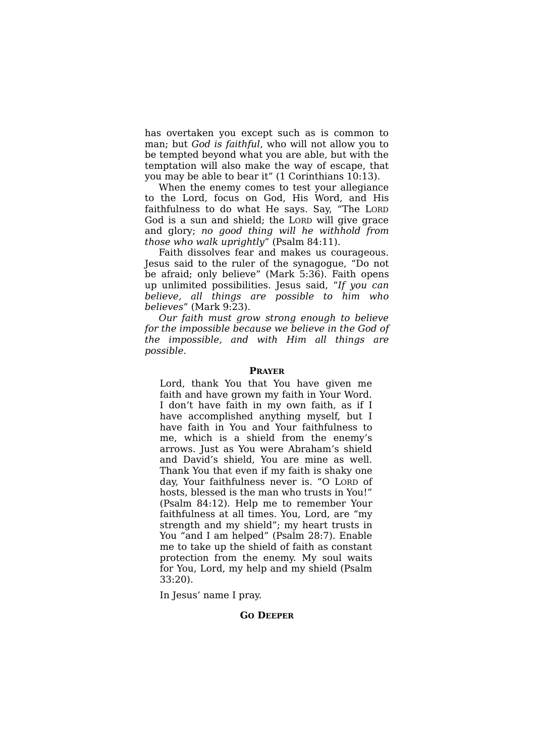has overtaken you except such as is common to man; but *God is faithful*, who will not allow you to be tempted beyond what you are able, but with the temptation will also make the way of escape, that you may be able to bear it" (1 Corinthians 10:13).

When the enemy comes to test your allegiance to the Lord, focus on God, His Word, and His faithfulness to do what He says. Say, "The LORD God is a sun and shield; the LORD will give grace and glory; *no good thing will he withhold from those who walk uprightly*" (Psalm 84:11).

Faith dissolves fear and makes us courageous. Jesus said to the ruler of the synagogue, "Do not be afraid; only believe" (Mark 5:36). Faith opens up unlimited possibilities. Jesus said, "*If you can believe, all things are possible to him who believes*" (Mark 9:23).

*Our faith must grow strong enough to believe for the impossible because we believe in the God of the impossible, and with Him all things are possible.*

### **PRAYER**

Lord, thank You that You have given me faith and have grown my faith in Your Word. I don't have faith in my own faith, as if I have accomplished anything myself, but I have faith in You and Your faithfulness to me, which is a shield from the enemy's arrows. Just as You were Abraham's shield and David's shield, You are mine as well. Thank You that even if my faith is shaky one day, Your faithfulness never is. "O LORD of hosts, blessed is the man who trusts in You!" (Psalm 84:12). Help me to remember Your faithfulness at all times. You, Lord, are "my strength and my shield"; my heart trusts in You "and I am helped" (Psalm 28:7). Enable me to take up the shield of faith as constant protection from the enemy. My soul waits for You, Lord, my help and my shield (Psalm 33:20).

In Jesus' name I pray.

#### **GO DEEPER**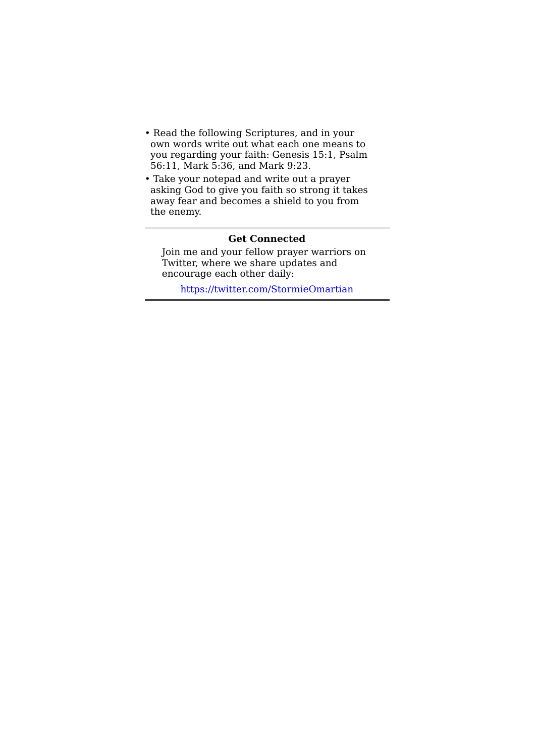- Read the following Scriptures, and in your own words write out what each one means to you regarding your faith: Genesis 15:1, Psalm 56:11, Mark 5:36, and Mark 9:23.
- Take your notepad and write out a prayer asking God to give you faith so strong it takes away fear and becomes a shield to you from the enemy.

### **Get Connected**

Join me and your fellow prayer warriors on Twitter, where we share updates and encourage each other daily:

https://twitter.com/StormieOmartian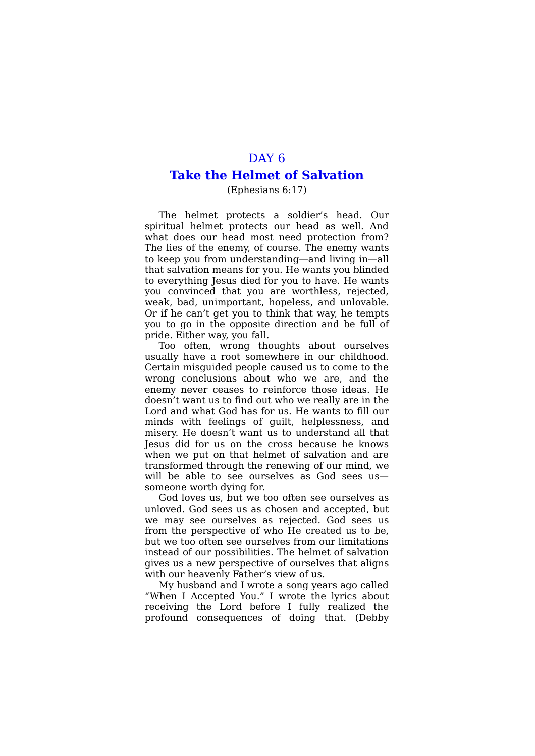# DAY<sub>6</sub>

### **Take the Helmet of Salvation**

(Ephesians 6:17)

The helmet protects a soldier's head. Our spiritual helmet protects our head as well. And what does our head most need protection from? The lies of the enemy, of course. The enemy wants to keep you from understanding—and living in—all that salvation means for you. He wants you blinded to everything Jesus died for you to have. He wants you convinced that you are worthless, rejected, weak, bad, unimportant, hopeless, and unlovable. Or if he can't get you to think that way, he tempts you to go in the opposite direction and be full of pride. Either way, you fall.

Too often, wrong thoughts about ourselves usually have a root somewhere in our childhood. Certain misguided people caused us to come to the wrong conclusions about who we are, and the enemy never ceases to reinforce those ideas. He doesn't want us to find out who we really are in the Lord and what God has for us. He wants to fill our minds with feelings of guilt, helplessness, and misery. He doesn't want us to understand all that Jesus did for us on the cross because he knows when we put on that helmet of salvation and are transformed through the renewing of our mind, we will be able to see ourselves as God sees us someone worth dying for.

God loves us, but we too often see ourselves as unloved. God sees us as chosen and accepted, but we may see ourselves as rejected. God sees us from the perspective of who He created us to be, but we too often see ourselves from our limitations instead of our possibilities. The helmet of salvation gives us a new perspective of ourselves that aligns with our heavenly Father's view of us.

My husband and I wrote a song years ago called "When I Accepted You." I wrote the lyrics about receiving the Lord before I fully realized the profound consequences of doing that. (Debby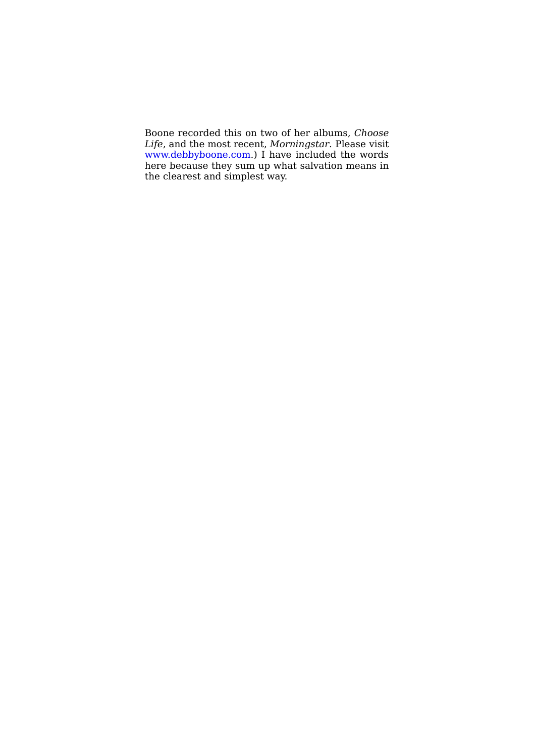Boone recorded this on two of her albums, *Choose Life*, and the most recent, *Morningstar*. Please visit www.debbyboone.com.) I have included the words here because they sum up what salvation means in the clearest and simplest way.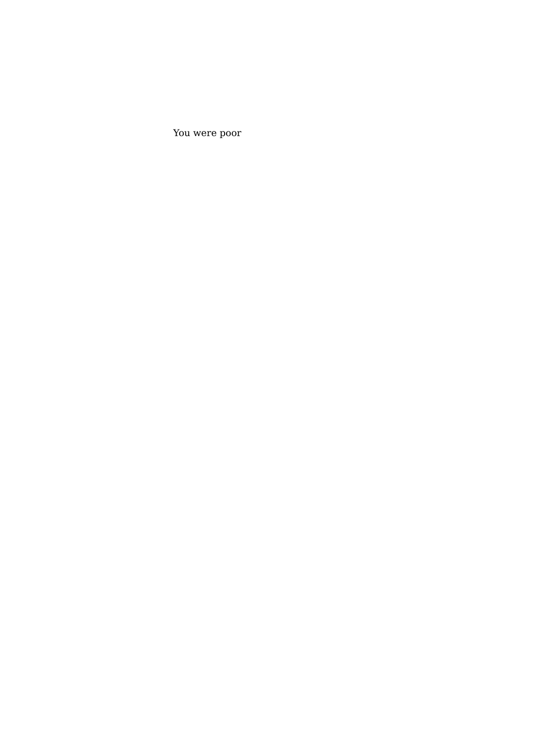You were poor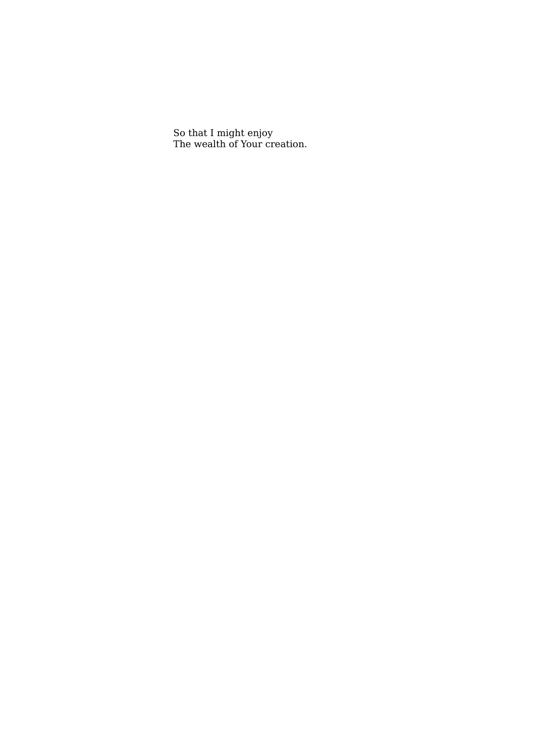So that I might enjoy The wealth of Your creation.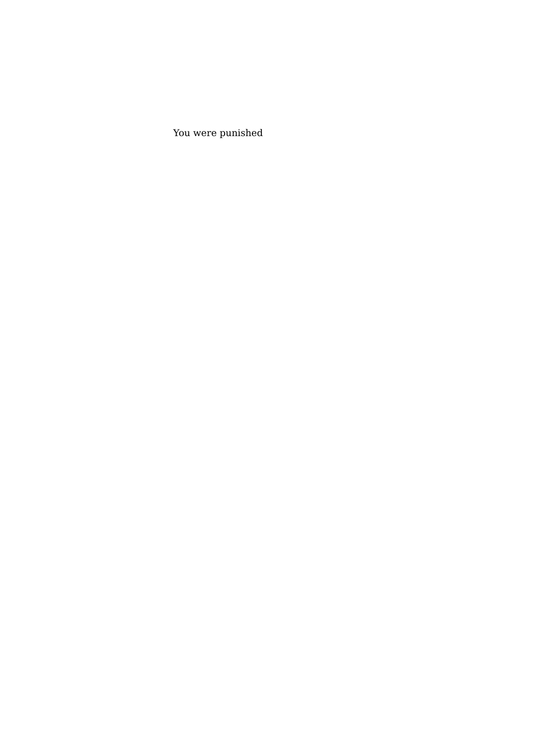You were punished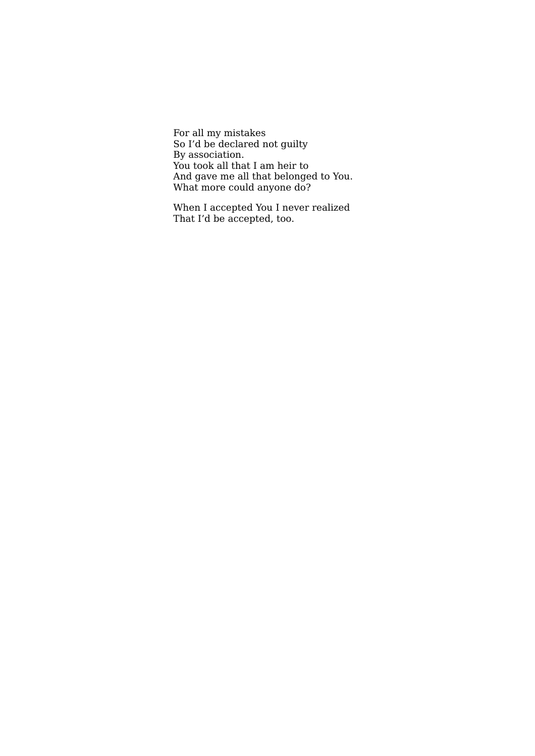For all my mistakes So I'd be declared not guilty By association. You took all that I am heir to And gave me all that belonged to You. What more could anyone do?

When I accepted You I never realized That I'd be accepted, too.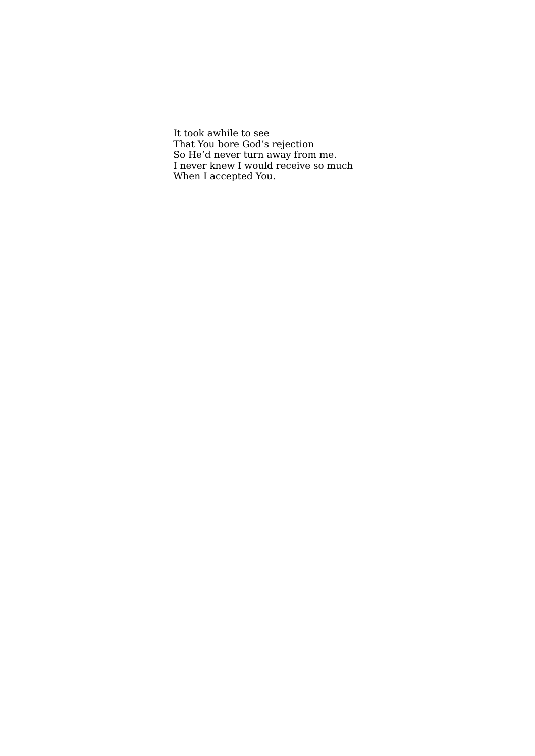It took awhile to see That You bore God's rejection So He'd never turn away from me. I never knew I would receive so much When I accepted You.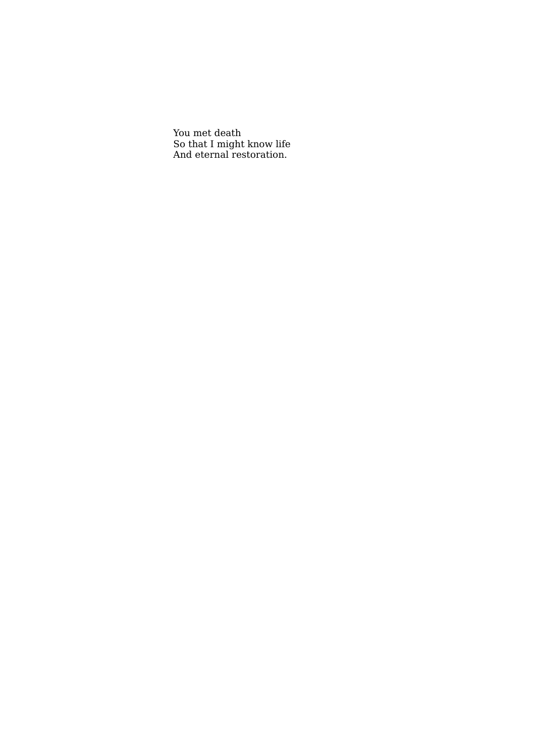You met death So that I might know life And eternal restoration.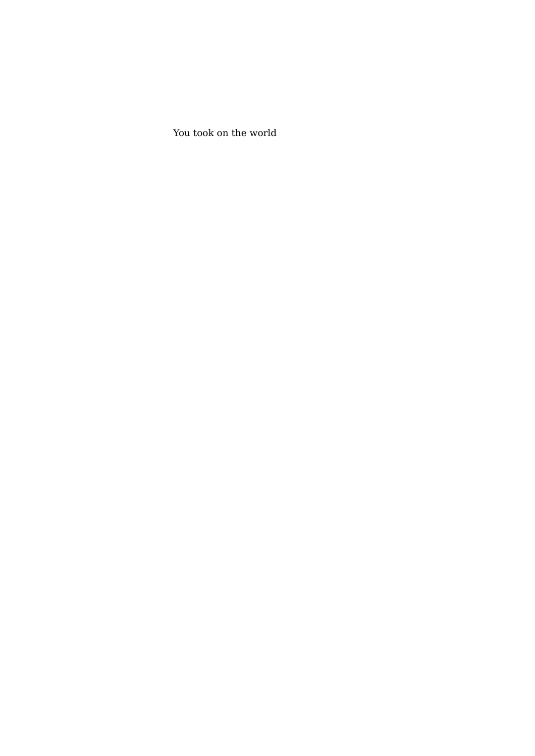You took on the world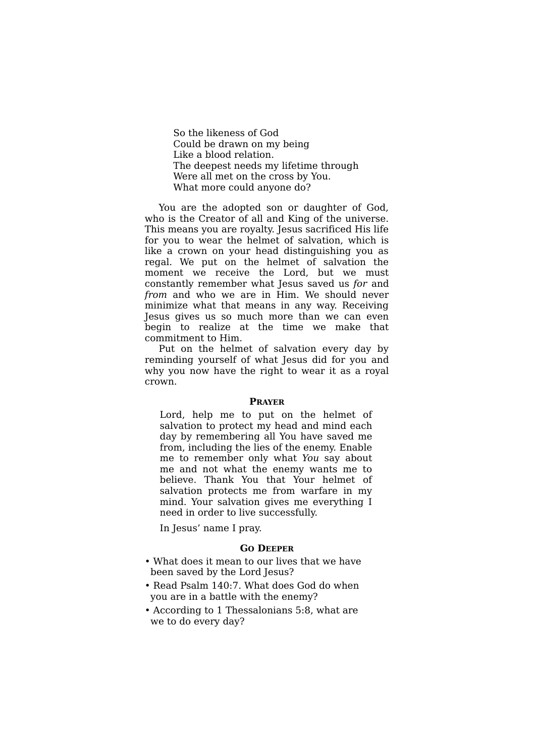So the likeness of God Could be drawn on my being Like a blood relation. The deepest needs my lifetime through Were all met on the cross by You. What more could anyone do?

You are the adopted son or daughter of God, who is the Creator of all and King of the universe. This means you are royalty. Jesus sacrificed His life for you to wear the helmet of salvation, which is like a crown on your head distinguishing you as regal. We put on the helmet of salvation the moment we receive the Lord, but we must constantly remember what Jesus saved us *for* and *from* and who we are in Him. We should never minimize what that means in any way. Receiving Jesus gives us so much more than we can even begin to realize at the time we make that commitment to Him.

Put on the helmet of salvation every day by reminding yourself of what Jesus did for you and why you now have the right to wear it as a royal crown.

#### **PRAYER**

Lord, help me to put on the helmet of salvation to protect my head and mind each day by remembering all You have saved me from, including the lies of the enemy. Enable me to remember only what *You* say about me and not what the enemy wants me to believe. Thank You that Your helmet of salvation protects me from warfare in my mind. Your salvation gives me everything I need in order to live successfully.

In Jesus' name I pray.

### **GO DEEPER**

- What does it mean to our lives that we have been saved by the Lord Jesus?
- Read Psalm 140:7. What does God do when you are in a battle with the enemy?
- According to 1 Thessalonians 5:8, what are we to do every day?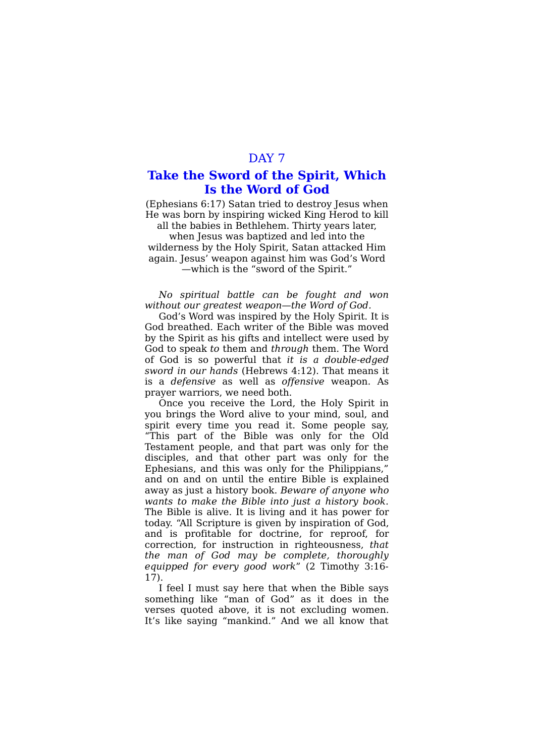# DAY 7

# **Take the Sword of the Spirit, Which Is the Word of God**

(Ephesians 6:17) Satan tried to destroy Jesus when He was born by inspiring wicked King Herod to kill all the babies in Bethlehem. Thirty years later,

when Jesus was baptized and led into the wilderness by the Holy Spirit, Satan attacked Him

again. Jesus' weapon against him was God's Word —which is the "sword of the Spirit."

*No spiritual battle can be fought and won without our greatest weapon—the Word of God.*

God's Word was inspired by the Holy Spirit. It is God breathed. Each writer of the Bible was moved by the Spirit as his gifts and intellect were used by God to speak *to* them and *through* them. The Word of God is so powerful that *it is a double-edged sword in our hands* (Hebrews 4:12). That means it is a *defensive* as well as *offensive* weapon. As prayer warriors, we need both.

Once you receive the Lord, the Holy Spirit in you brings the Word alive to your mind, soul, and spirit every time you read it. Some people say, "This part of the Bible was only for the Old Testament people, and that part was only for the disciples, and that other part was only for the Ephesians, and this was only for the Philippians," and on and on until the entire Bible is explained away as just a history book. *Beware of anyone who wants to make the Bible into just a history book*. The Bible is alive. It is living and it has power for today. "All Scripture is given by inspiration of God, and is profitable for doctrine, for reproof, for correction, for instruction in righteousness, *that the man of God may be complete, thoroughly equipped for every good work*" (2 Timothy 3:16- 17).

I feel I must say here that when the Bible says something like "man of God" as it does in the verses quoted above, it is not excluding women. It's like saying "mankind." And we all know that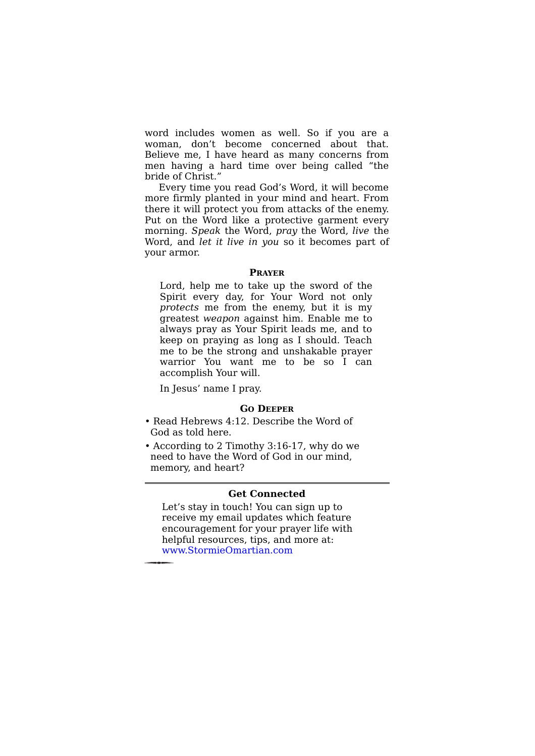word includes women as well. So if you are a woman, don't become concerned about that. Believe me, I have heard as many concerns from men having a hard time over being called "the bride of Christ."

Every time you read God's Word, it will become more firmly planted in your mind and heart. From there it will protect you from attacks of the enemy. Put on the Word like a protective garment every morning. *Speak* the Word, *pray* the Word, *live* the Word, and *let it live in you* so it becomes part of your armor.

### **PRAYER**

Lord, help me to take up the sword of the Spirit every day, for Your Word not only *protects* me from the enemy, but it is my greatest *weapon* against him. Enable me to always pray as Your Spirit leads me, and to keep on praying as long as I should. Teach me to be the strong and unshakable prayer warrior You want me to be so I can accomplish Your will.

In Jesus' name I pray.

### **GO DEEPER**

• Read Hebrews 4:12. Describe the Word of God as told here.

• According to 2 Timothy 3:16-17, why do we need to have the Word of God in our mind, memory, and heart?

### **Get Connected**

Let's stay in touch! You can sign up to receive my email updates which feature encouragement for your prayer life with helpful resources, tips, and more at: www.StormieOmartian.com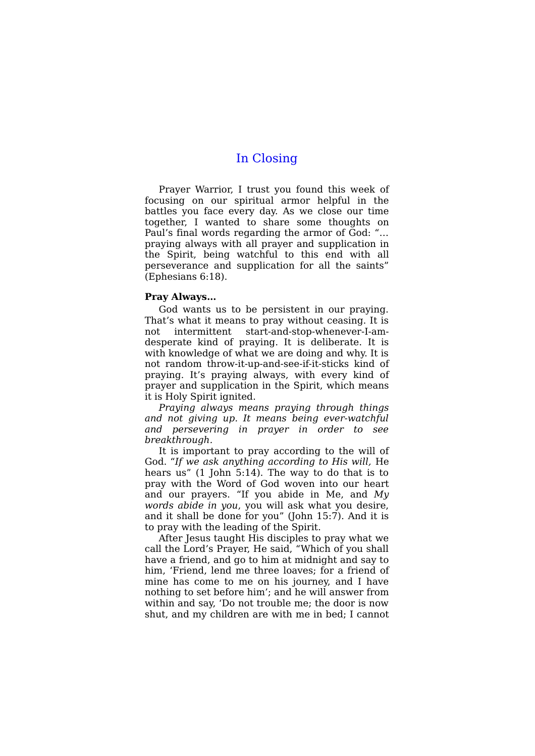# In Closing

Prayer Warrior, I trust you found this week of focusing on our spiritual armor helpful in the battles you face every day. As we close our time together, I wanted to share some thoughts on Paul's final words regarding the armor of God: "… praying always with all prayer and supplication in the Spirit, being watchful to this end with all perseverance and supplication for all the saints" (Ephesians 6:18).

### **Pray Always…**

God wants us to be persistent in our praying. That's what it means to pray without ceasing. It is not intermittent start-and-stop-whenever-I-amdesperate kind of praying. It is deliberate. It is with knowledge of what we are doing and why. It is not random throw-it-up-and-see-if-it-sticks kind of praying. It's praying always, with every kind of prayer and supplication in the Spirit, which means it is Holy Spirit ignited.

*Praying always means praying through things and not giving up. It means being ever-watchful and persevering in prayer in order to see breakthrough.*

It is important to pray according to the will of God. "*If we ask anything according to His will,* He hears us" (1 John 5:14). The way to do that is to pray with the Word of God woven into our heart and our prayers. "If you abide in Me, and *My words abide in you*, you will ask what you desire, and it shall be done for you" (John 15:7). And it is to pray with the leading of the Spirit.

After Jesus taught His disciples to pray what we call the Lord's Prayer, He said, "Which of you shall have a friend, and go to him at midnight and say to him, 'Friend, lend me three loaves; for a friend of mine has come to me on his journey, and I have nothing to set before him'; and he will answer from within and say, 'Do not trouble me; the door is now shut, and my children are with me in bed; I cannot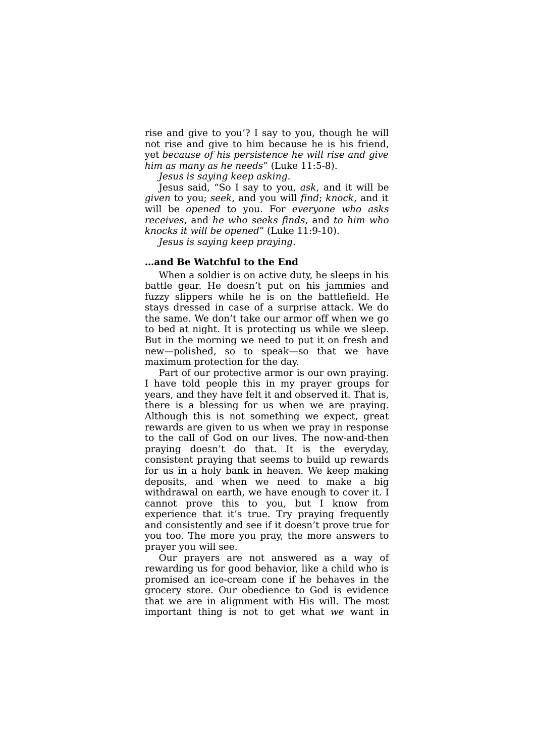rise and give to you'? I say to you, though he will not rise and give to him because he is his friend, yet *because of his persistence he will rise and give him as many as he needs*" (Luke 11:5-8).

*Jesus is saying keep asking.*

Jesus said, "So I say to you, *ask*, and it will be *given* to you; *seek*, and you will *find*; *knock*, and it will be *opened* to you. For *everyone who asks receives*, and *he who seeks finds*, and *to him who knocks it will be opened*" (Luke 11:9-10).

*Jesus is saying keep praying.*

### **…and Be Watchful to the End**

When a soldier is on active duty, he sleeps in his battle gear. He doesn't put on his jammies and fuzzy slippers while he is on the battlefield. He stays dressed in case of a surprise attack. We do the same. We don't take our armor off when we go to bed at night. It is protecting us while we sleep. But in the morning we need to put it on fresh and new—polished, so to speak—so that we have maximum protection for the day.

Part of our protective armor is our own praying. I have told people this in my prayer groups for years, and they have felt it and observed it. That is, there is a blessing for us when we are praying. Although this is not something we expect, great rewards are given to us when we pray in response to the call of God on our lives. The now-and-then praying doesn't do that. It is the everyday, consistent praying that seems to build up rewards for us in a holy bank in heaven. We keep making deposits, and when we need to make a big withdrawal on earth, we have enough to cover it. I cannot prove this to you, but I know from experience that it's true. Try praying frequently and consistently and see if it doesn't prove true for you too. The more you pray, the more answers to prayer you will see.

Our prayers are not answered as a way of rewarding us for good behavior, like a child who is promised an ice-cream cone if he behaves in the grocery store. Our obedience to God is evidence that we are in alignment with His will. The most important thing is not to get what *we* want in